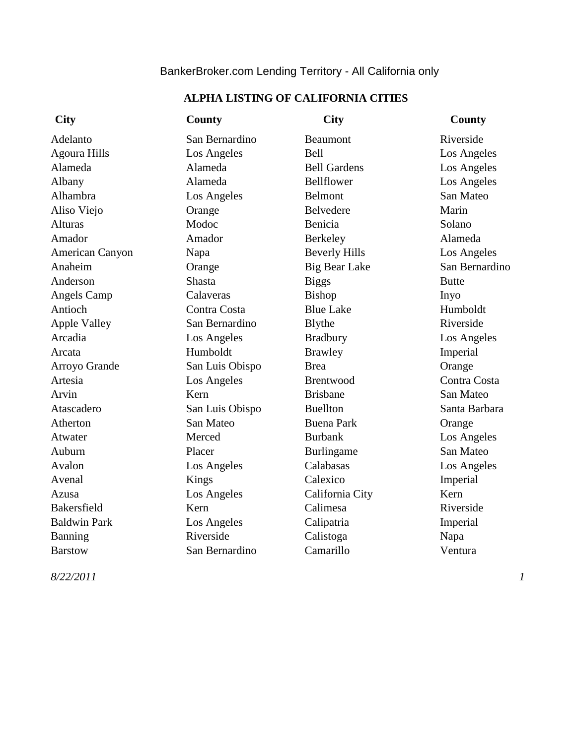# BankerBroker.com Lending Territory - All California only

# **ALPHA LISTING OF CALIFORNIA CITIES**

| <b>City</b>         | <b>County</b>   | <b>City</b>          | <b>County</b>  |
|---------------------|-----------------|----------------------|----------------|
| Adelanto            | San Bernardino  | Beaumont             | Riverside      |
| <b>Agoura Hills</b> | Los Angeles     | Bell                 | Los Angeles    |
| Alameda             | Alameda         | <b>Bell Gardens</b>  | Los Angeles    |
| Albany              | Alameda         | Bellflower           | Los Angeles    |
| Alhambra            | Los Angeles     | <b>Belmont</b>       | San Mateo      |
| Aliso Viejo         | Orange          | Belvedere            | Marin          |
| <b>Alturas</b>      | Modoc           | Benicia              | Solano         |
| Amador              | Amador          | Berkeley             | Alameda        |
| American Canyon     | Napa            | <b>Beverly Hills</b> | Los Angeles    |
| Anaheim             | Orange          | <b>Big Bear Lake</b> | San Bernardino |
| Anderson            | <b>Shasta</b>   | <b>Biggs</b>         | <b>Butte</b>   |
| <b>Angels Camp</b>  | Calaveras       | Bishop               | Inyo           |
| Antioch             | Contra Costa    | <b>Blue Lake</b>     | Humboldt       |
| <b>Apple Valley</b> | San Bernardino  | Blythe               | Riverside      |
| Arcadia             | Los Angeles     | <b>Bradbury</b>      | Los Angeles    |
| Arcata              | Humboldt        | <b>Brawley</b>       | Imperial       |
| Arroyo Grande       | San Luis Obispo | <b>Brea</b>          | Orange         |
| Artesia             | Los Angeles     | Brentwood            | Contra Costa   |
| Arvin               | Kern            | <b>Brisbane</b>      | San Mateo      |
| Atascadero          | San Luis Obispo | <b>Buellton</b>      | Santa Barbara  |
| Atherton            | San Mateo       | <b>Buena Park</b>    | Orange         |
| Atwater             | Merced          | <b>Burbank</b>       | Los Angeles    |
| Auburn              | Placer          | Burlingame           | San Mateo      |
| Avalon              | Los Angeles     | Calabasas            | Los Angeles    |
| Avenal              | Kings           | Calexico             | Imperial       |
| Azusa               | Los Angeles     | California City      | Kern           |
| Bakersfield         | Kern            | Calimesa             | Riverside      |
| <b>Baldwin Park</b> | Los Angeles     | Calipatria           | Imperial       |
| <b>Banning</b>      | Riverside       | Calistoga            | Napa           |
| <b>Barstow</b>      | San Bernardino  | Camarillo            | Ventura        |

*8/22/2011 1*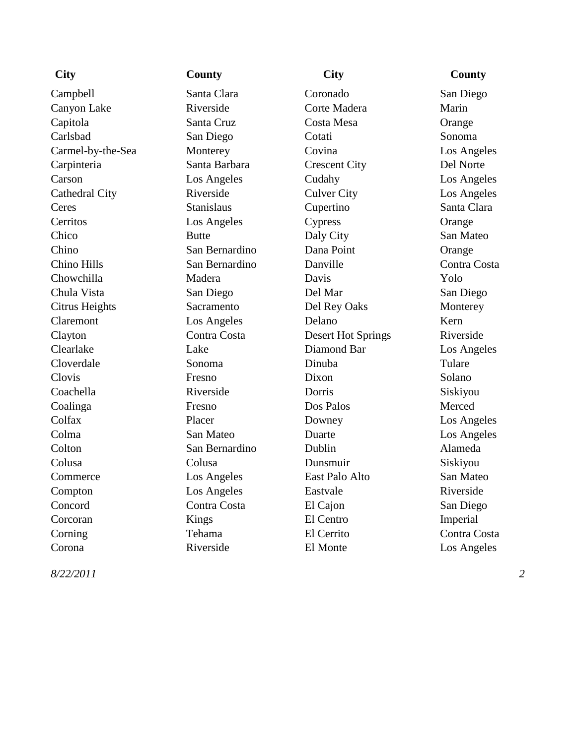Campbell Santa Clara Coronado San Diego Canyon Lake Riverside Corte Madera Marin Capitola Santa Cruz Costa Mesa Orange Carlsbad San Diego Cotati Sonoma Carmel-by-the-Sea Monterey Covina Los Angeles Carpinteria Santa Barbara Crescent City Del Norte Carson Los Angeles Cudahy Los Angeles Cathedral City **Riverside** Culver City **Culver City** Los Angeles Ceres Stanislaus Cupertino Santa Clara Cerritos Los Angeles Cypress Orange Chico Butte Daly City San Mateo Chino San Bernardino Dana Point Orange Chino Hills San Bernardino Danville Contra Costa Chowchilla Madera Davis Yolo Chula Vista San Diego Del Mar San Diego Citrus Heights Sacramento Del Rey Oaks Monterey Claremont Los Angeles Delano Kern Clayton Contra Costa Desert Hot Springs Riverside Clearlake Lake Diamond Bar Los Angeles Cloverdale Sonoma Dinuba Tulare Clovis Fresno Dixon Solano Coachella Riverside Dorris Siskiyou Coalinga Fresno Dos Palos Merced Colfax Placer Downey Los Angeles Colma San Mateo Duarte Los Angeles Colton San Bernardino Dublin Alameda Colusa Colusa Dunsmuir Siskiyou Commerce Los Angeles East Palo Alto San Mateo Compton Los Angeles Eastvale Riverside Concord Contra Costa El Cajon San Diego Corcoran Kings El Centro Imperial Corning Tehama El Cerrito Contra Costa Corona Riverside El Monte Los Angeles

## **City County City County**

*8/22/2011*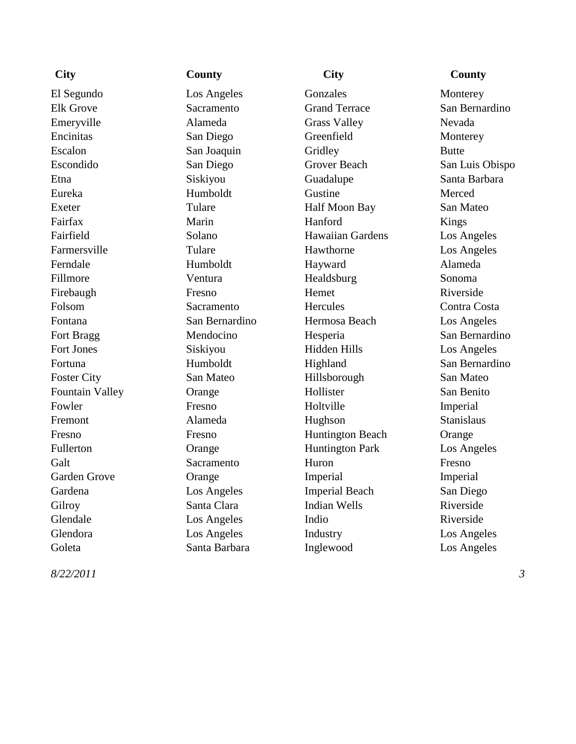*8/22/2011*

El Segundo Los Angeles Gonzales Monterey Elk Grove Sacramento Grand Terrace San Bernardino Emeryville Alameda Grass Valley Nevada Encinitas San Diego Greenfield Monterey Escalon San Joaquin Gridley Butte Escondido San Diego Grover Beach San Luis Obispo Etna Siskiyou Guadalupe Santa Barbara Eureka Humboldt Gustine Merced Exeter Tulare Tulare Half Moon Bay San Mateo Fairfax Marin Marin Hanford Kings Fairfield Solano Hawaiian Gardens Los Angeles Farmersville Tulare Hawthorne Los Angeles Ferndale Humboldt Hayward Alameda Fillmore Ventura Healdsburg Sonoma Firebaugh Fresno Hemet Riverside Folsom Sacramento Hercules Contra Costa Fontana San Bernardino Hermosa Beach Los Angeles Fort Bragg Mendocino Hesperia San Bernardino Fort Jones Siskiyou Hidden Hills Los Angeles Fortuna Humboldt Highland San Bernardino Foster City San Mateo Hillsborough San Mateo Fountain Valley Crange Thollister San Benito Fowler Fresno Fresno Holtville Imperial Fremont Alameda Hughson Stanislaus Fresno Fresno Huntington Beach Orange Fullerton Orange Huntington Park Los Angeles Galt Sacramento Huron Fresno Garden Grove Crange Crange Imperial Imperial Gardena Los Angeles Imperial Beach San Diego Gilroy Santa Clara Indian Wells Riverside Glendale Los Angeles Indio Riverside Glendora Los Angeles Industry Los Angeles Goleta Santa Barbara Inglewood Los Angeles

## **City County City County**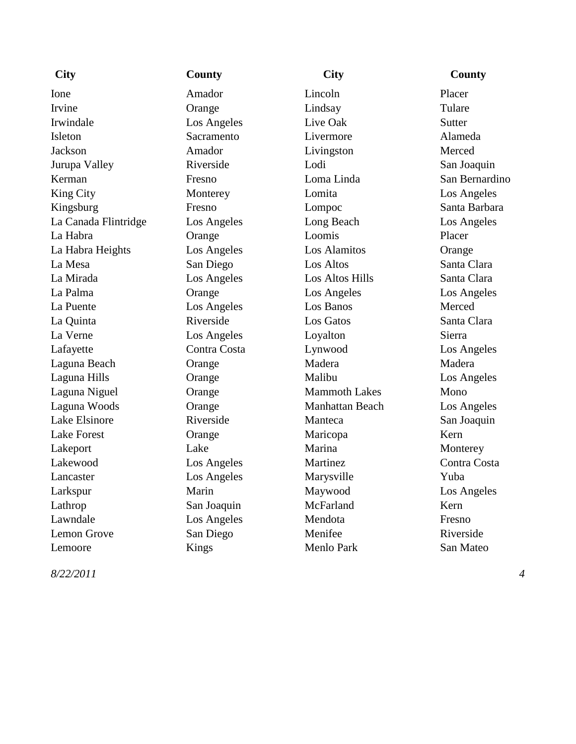# Ione **Amador** Amador **Lincoln** Placer Irvine Crange Crange Lindsay Tulare Irwindale Los Angeles Live Oak Sutter Isleton Sacramento Livermore Alameda Jackson Amador Livingston Merced Jurupa Valley Riverside Lodi San Joaquin Kerman Fresno Loma Linda San Bernardino King City Monterey Lomita Los Angeles Kingsburg Fresno Lompoc Santa Barbara La Canada Flintridge Los Angeles Long Beach Los Angeles La Habra Orange Loomis Placer La Habra Heights Los Angeles Los Alamitos Orange La Mesa San Diego Los Altos Santa Clara La Mirada Los Angeles Los Altos Hills Santa Clara La Palma Orange Los Angeles Los Angeles La Puente Los Angeles Los Banos Merced La Quinta Riverside Los Gatos Santa Clara La Verne Los Angeles Loyalton Sierra Lafayette Contra Costa Lynwood Los Angeles Laguna Beach Crange Madera Madera Madera Madera Laguna Hills Orange Malibu Los Angeles Laguna Niguel Crange Mammoth Lakes Mono Laguna Woods Orange Manhattan Beach Los Angeles Lake Elsinore Riverside Manteca San Joaquin Lake Forest Crange Maricopa Kern Lakeport Lake Lake Marina Monterey Lakewood Los Angeles Martinez Contra Costa Lancaster Los Angeles Marysville Yuba Larkspur Marin Maywood Los Angeles Lathrop San Joaquin McFarland Kern Lawndale Los Angeles Mendota Fresno Lemon Grove San Diego Menifee Riverside Lemoore Kings Menlo Park San Mateo

# **City County City County**

*8/22/2011*

*4*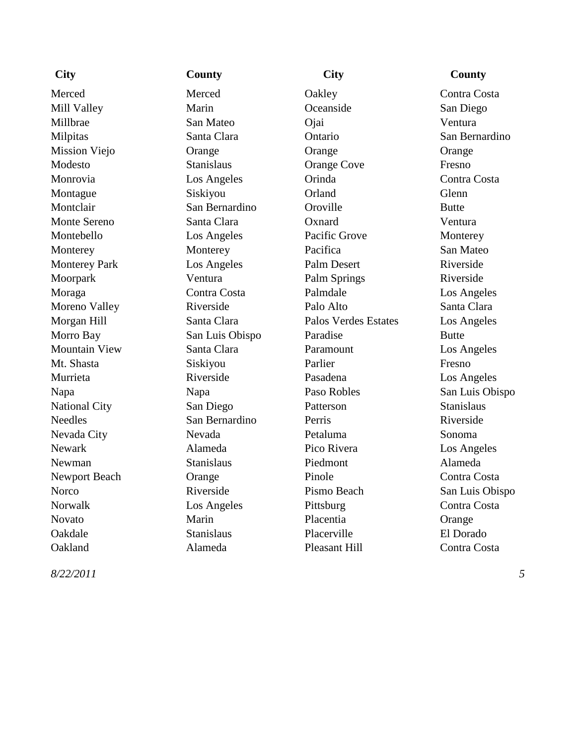*8/22/2011*

## **City County City County**

Merced Merced Dakley Contra Costa Mill Valley Marin Marin Oceanside San Diego Millbrae San Mateo Ojai Ventura Milpitas Santa Clara Ontario San Bernardino Mission Viejo Orange Orange Orange Modesto Stanislaus Orange Cove Fresno Monrovia Cos Angeles Corinda Costa Contra Costa Montague Siskiyou Crland Glenn Montclair San Bernardino Oroville Butte Monte Sereno Santa Clara Oxnard Ventura Montebello Los Angeles Pacific Grove Monterey Monterey Monterey Pacifica San Mateo Monterey Park Los Angeles Palm Desert Riverside Moorpark Ventura Palm Springs Riverside Moraga Contra Costa Palmdale Los Angeles Moreno Valley **Riverside** Palo Alto Santa Clara Morgan Hill Santa Clara Palos Verdes Estates Los Angeles Morro Bay San Luis Obispo Paradise Butte Mountain View Santa Clara Paramount Los Angeles Mt. Shasta Siskiyou Parlier Fresno Murrieta Riverside Pasadena Los Angeles Napa Napa Paso Robles San Luis Obispo National City San Diego Patterson Stanislaus Needles San Bernardino Perris Riverside Nevada City Nevada Petaluma Sonoma Newark Alameda Pico Rivera Los Angeles Newman Stanislaus Piedmont Alameda Newport Beach Contra Costa Contra Costa Contra Costa Contra Costa Contra Costa Contra Costa Contra Costa Contra Costa Contra Costa Contra Costa Contra Costa Contra Costa Contra Costa Contra Costa Contra Costa Contra Costa Norco Riverside Pismo Beach San Luis Obispo Norwalk Los Angeles Pittsburg Contra Costa Novato Marin Placentia Orange Oakdale Stanislaus Placerville El Dorado Oakland Alameda Pleasant Hill Contra Costa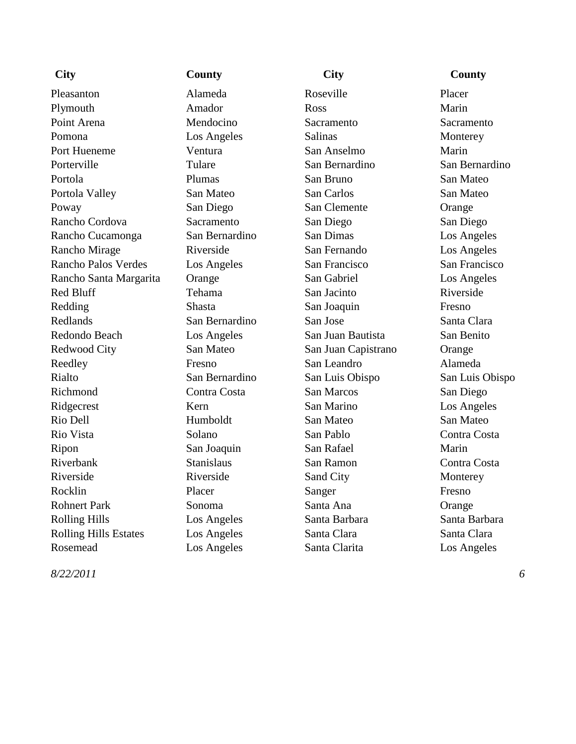Pleasanton Alameda Roseville Placer Plymouth Amador Amador Ross Marin Point Arena **Mendocino** Sacramento Sacramento Sacramento Pomona Los Angeles Salinas Monterey Port Hueneme Ventura San Anselmo Marin Porterville Tulare San Bernardino San Bernardino Portola Plumas San Bruno San Mateo Portola Valley San Mateo San Carlos San Mateo Poway San Diego San Clemente Orange Rancho Cordova Sacramento San Diego San Diego San Diego Rancho Cucamonga San Bernardino San Dimas Los Angeles Rancho Mirage Riverside San Fernando Los Angeles Rancho Palos Verdes Los Angeles San Francisco San Francisco Rancho Santa Margarita Orange San Gabriel Los Angeles Red Bluff Tehama San Jacinto Riverside Redding Shasta San Joaquin Fresno Redlands San Bernardino San Jose Santa Clara Redondo Beach Los Angeles San Juan Bautista San Benito Redwood City San Mateo San Juan Capistrano Orange Reedley Fresno San Leandro Alameda Rialto San Bernardino San Luis Obispo San Luis Obispo Richmond Contra Costa San Marcos San Diego Ridgecrest Kern Kern San Marino Los Angeles Rio Dell **Humboldt** San Mateo San Mateo Rio Vista Solano San Pablo Contra Costa Ripon San Joaquin San Rafael Marin Riverbank Stanislaus San Ramon Contra Costa Riverside Riverside Sand City Monterey Rocklin Placer Sanger Fresno Rohnert Park Sonoma Santa Ana Orange Rolling Hills **Los Angeles** Santa Barbara Santa Barbara Rolling Hills Estates Los Angeles Santa Clara Santa Clara Rosemead Los Angeles Santa Clarita Los Angeles

## **City County City County**

## *8/22/2011 6*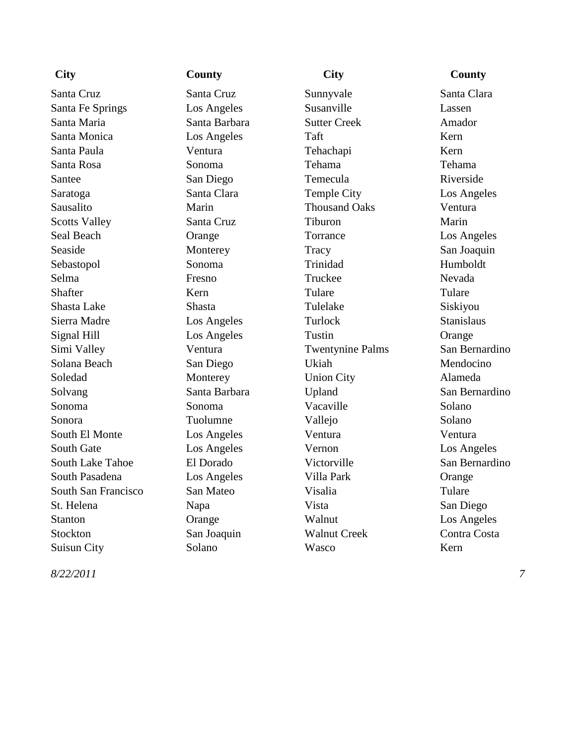Santa Cruz Santa Cruz Sunnyvale Santa Clara Santa Fe Springs Los Angeles Susanville Lassen Santa Maria Santa Barbara Sutter Creek Amador Santa Monica Los Angeles Taft Kern Santa Paula **Ventura** Ventura Tehachapi Kern Santa Rosa Sonoma Tehama Tehama Santee San Diego Temecula Riverside Saratoga Santa Clara Temple City Los Angeles Sausalito Marin Thousand Oaks Ventura Scotts Valley Santa Cruz Tiburon Marin Seal Beach Orange Torrance Los Angeles Seaside Monterey Tracy San Joaquin Sebastopol Sonoma Trinidad Humboldt Selma Fresno Fresno Truckee Nevada Shafter Kern Kern Tulare Tulare Tulare Tulare Shasta Lake Shasta Tulelake Siskiyou Sierra Madre Los Angeles Turlock Stanislaus Signal Hill Cos Angeles Tustin Crange Simi Valley Ventura Twentynine Palms San Bernardino Solana Beach San Diego Ukiah Mendocino Soledad Monterey Union City Alameda Solvang Santa Barbara Upland San Bernardino Sonoma Sonoma Vacaville Solano Sonora Tuolumne Vallejo Solano South El Monte Los Angeles Ventura Ventura Ventura South Gate Los Angeles Vernon Los Angeles South Lake Tahoe El Dorado Victorville San Bernardino South Pasadena Los Angeles Villa Park Orange South San Francisco San Mateo Visalia Tulare St. Helena Napa Vista San Diego Stanton Crange Walnut Los Angeles Stockton San Joaquin Walnut Creek Contra Costa Suisun City Solano Wasco Kern

*8/22/2011*

**City County City County**